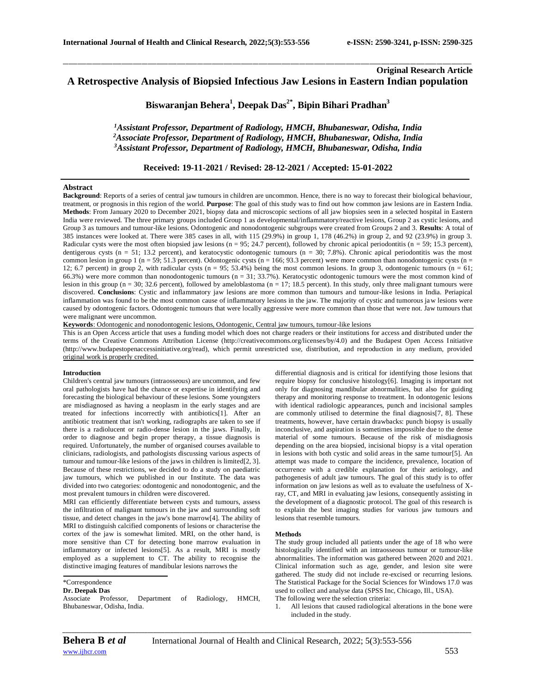# **Original Research Article A Retrospective Analysis of Biopsied Infectious Jaw Lesions in Eastern Indian population**

\_\_\_\_\_\_\_\_\_\_\_\_\_\_\_\_\_\_\_\_\_\_\_\_\_\_\_\_\_\_\_\_\_\_\_\_\_\_\_\_\_\_\_\_\_\_\_\_\_\_\_\_\_\_\_\_\_\_\_\_\_\_\_\_\_\_\_\_\_\_\_\_\_\_\_\_\_\_\_\_\_\_\_\_\_\_\_\_\_\_\_\_\_\_\_\_\_\_\_\_\_\_\_\_\_\_\_\_\_\_\_\_\_\_\_\_\_\_\_\_\_\_\_\_\_\_\_\_\_\_\_\_\_\_\_\_\_\_\_\_

**Biswaranjan Behera<sup>1</sup> , Deepak Das2\* , Bipin Bihari Pradhan<sup>3</sup>**

*<sup>1</sup>Assistant Professor, Department of Radiology, HMCH, Bhubaneswar, Odisha, India <sup>2</sup>Associate Professor, Department of Radiology, HMCH, Bhubaneswar, Odisha, India <sup>3</sup>Assistant Professor, Department of Radiology, HMCH, Bhubaneswar, Odisha, India*

**Received: 19-11-2021 / Revised: 28-12-2021 / Accepted: 15-01-2022**

# **Abstract**

**Background**: Reports of a series of central jaw tumours in children are uncommon. Hence, there is no way to forecast their biological behaviour, treatment, or prognosis in this region of the world. **Purpose**: The goal of this study was to find out how common jaw lesions are in Eastern India. **Methods**: From January 2020 to December 2021, biopsy data and microscopic sections of all jaw biopsies seen in a selected hospital in Eastern India were reviewed. The three primary groups included Group 1 as developmental/inflammatory/reactive lesions, Group 2 as cystic lesions, and Group 3 as tumours and tumour-like lesions. Odontogenic and nonodontogenic subgroups were created from Groups 2 and 3. **Results**: A total of 385 instances were looked at. There were 385 cases in all, with 115 (29.9%) in group 1, 178 (46.2%) in group 2, and 92 (23.9%) in group 3. Radicular cysts were the most often biopsied jaw lesions (n = 95; 24.7 percent), followed by chronic apical periodontitis (n = 59; 15.3 percent), dentigerous cysts ( $n = 51$ ; 13.2 percent), and keratocystic odontogenic tumours ( $n = 30$ ; 7.8%). Chronic apical periodontitis was the most common lesion in group 1 ( $n = 59$ ; 51.3 percent). Odontogenic cysts ( $n = 166$ ; 93.3 percent) were more common than nonodontogenic cysts ( $n =$ 12; 6.7 percent) in group 2, with radicular cysts  $(n = 95; 53.4%)$  being the most common lesions. In group 3, odontogenic tumours  $(n = 61;$ 66.3%) were more common than nonodontogenic tumours ( $n = 31$ ; 33.7%). Keratocystic odontogenic tumours were the most common kind of lesion in this group ( $n = 30$ ; 32.6 percent), followed by ameloblastoma ( $n = 17$ ; 18.5 percent). In this study, only three malignant tumours were discovered. **Conclusions**: Cystic and inflammatory jaw lesions are more common than tumours and tumour-like lesions in India. Periapical inflammation was found to be the most common cause of inflammatory lesions in the jaw. The majority of cystic and tumorous jaw lesions were caused by odontogenic factors. Odontogenic tumours that were locally aggressive were more common than those that were not. Jaw tumours that were malignant were uncommon.

**Keywords**: Odontogenic and nonodontogenic lesions, Odontogenic, Central jaw tumours, tumour-like lesions

This is an Open Access article that uses a funding model which does not charge readers or their institutions for access and distributed under the terms of the Creative Commons Attribution License (http://creativecommons.org/licenses/by/4.0) and the Budapest Open Access Initiative (http://www.budapestopenaccessinitiative.org/read), which permit unrestricted use, distribution, and reproduction in any medium, provided original work is properly credited.

## **Introduction**

Children's central jaw tumours (intraosseous) are uncommon, and few oral pathologists have had the chance or expertise in identifying and forecasting the biological behaviour of these lesions. Some youngsters are misdiagnosed as having a neoplasm in the early stages and are treated for infections incorrectly with antibiotics[1]. After an antibiotic treatment that isn't working, radiographs are taken to see if there is a radiolucent or radio-dense lesion in the jaws. Finally, in order to diagnose and begin proper therapy, a tissue diagnosis is required. Unfortunately, the number of organised courses available to clinicians, radiologists, and pathologists discussing various aspects of tumour and tumour-like lesions of the jaws in children is limited[2, 3]. Because of these restrictions, we decided to do a study on paediatric jaw tumours, which we published in our Institute. The data was divided into two categories: odontogenic and nonodontogenic, and the most prevalent tumours in children were discovered.

MRI can efficiently differentiate between cysts and tumours, assess the infiltration of malignant tumours in the jaw and surrounding soft tissue, and detect changes in the jaw's bone marrow[4]. The ability of MRI to distinguish calcified components of lesions or characterise the cortex of the jaw is somewhat limited. MRI, on the other hand, is more sensitive than CT for detecting bone marrow evaluation in inflammatory or infected lesions[5]. As a result, MRI is mostly employed as a supplement to CT. The ability to recognise the distinctive imaging features of mandibular lesions narrows the

### **Dr. Deepak Das**

Associate Professor, Department of Radiology, HMCH, Bhubaneswar, Odisha, India.

differential diagnosis and is critical for identifying those lesions that require biopsy for conclusive histology[6]. Imaging is important not only for diagnosing mandibular abnormalities, but also for guiding therapy and monitoring response to treatment. In odontogenic lesions with identical radiologic appearances, punch and incisional samples are commonly utilised to determine the final diagnosis[7, 8]. These treatments, however, have certain drawbacks: punch biopsy is usually inconclusive, and aspiration is sometimes impossible due to the dense material of some tumours. Because of the risk of misdiagnosis depending on the area biopsied, incisional biopsy is a vital operation in lesions with both cystic and solid areas in the same tumour[5]. An attempt was made to compare the incidence, prevalence, location of occurrence with a credible explanation for their aetiology, and pathogenesis of adult jaw tumours. The goal of this study is to offer information on jaw lesions as well as to evaluate the usefulness of Xray, CT, and MRI in evaluating jaw lesions, consequently assisting in the development of a diagnostic protocol. The goal of this research is to explain the best imaging studies for various jaw tumours and lesions that resemble tumours.

#### **Methods**

The study group included all patients under the age of 18 who were histologically identified with an intraosseous tumour or tumour-like abnormalities. The information was gathered between 2020 and 2021. Clinical information such as age, gender, and lesion site were gathered. The study did not include re-excised or recurring lesions. The Statistical Package for the Social Sciences for Windows 17.0 was used to collect and analyse data (SPSS Inc, Chicago, Ill., USA). The following were the selection criteria:

1. All lesions that caused radiological alterations in the bone were included in the study.

<sup>\*</sup>Correspondence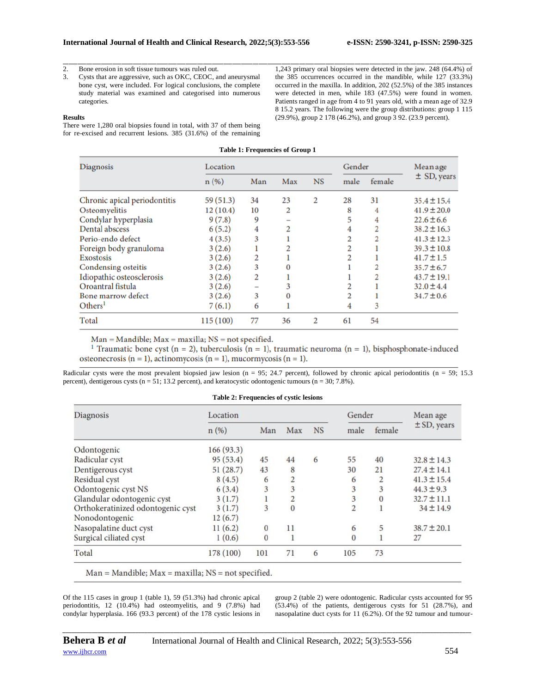2. Bone erosion in soft tissue tumours was ruled out.

3. Cysts that are aggressive, such as OKC, CEOC, and aneurysmal bone cyst, were included. For logical conclusions, the complete study material was examined and categorised into numerous categories.

## **Results**

There were 1,280 oral biopsies found in total, with 37 of them being for re-excised and recurrent lesions. 385 (31.6%) of the remaining

\_\_\_\_\_\_\_\_\_\_\_\_\_\_\_\_\_\_\_\_\_\_\_\_\_\_\_\_\_\_\_\_\_\_\_\_\_\_\_\_\_\_\_\_\_\_\_\_\_\_\_\_\_\_\_\_\_\_\_\_\_\_\_\_\_\_\_\_\_\_\_\_\_\_\_\_\_\_\_\_\_\_\_\_\_\_\_\_\_\_\_\_\_\_\_\_\_\_\_\_\_\_\_\_\_\_\_\_\_\_\_\_\_\_\_\_\_\_\_\_\_\_\_\_\_\_\_\_\_\_\_\_\_\_\_\_\_\_\_\_ 1,243 primary oral biopsies were detected in the jaw. 248 (64.4%) of the 385 occurrences occurred in the mandible, while 127 (33.3%) occurred in the maxilla. In addition, 202 (52.5%) of the 385 instances were detected in men, while 183 (47.5%) were found in women. Patients ranged in age from 4 to 91 years old, with a mean age of 32.9 8 15.2 years. The following were the group distributions: group 1 115 (29.9%), group 2 178 (46.2%), and group 3 92. (23.9 percent).

| <b>Table 1: Frequencies of Group 1</b> |           |     |     |           |      |        |                 |  |  |  |  |
|----------------------------------------|-----------|-----|-----|-----------|------|--------|-----------------|--|--|--|--|
| <b>Diagnosis</b>                       | Location  |     |     |           |      | Gender | Mean age        |  |  |  |  |
|                                        | n(%)      | Man | Max | <b>NS</b> | male | female | $\pm$ SD, years |  |  |  |  |
| Chronic apical periodontitis           | 59 (51.3) | 34  | 23  | 2         | 28   | 31     | $35.4 \pm 15.4$ |  |  |  |  |
| Osteomyelitis                          | 12(10.4)  | 10  | 2   |           | 8    | 4      | $41.9 \pm 20.0$ |  |  |  |  |
| Condylar hyperplasia                   | 9(7.8)    | 9   |     |           | 5    | 4      | $22.6 \pm 6.6$  |  |  |  |  |
| <b>Dental abscess</b>                  | 6(5.2)    | 4   | 2   |           |      |        | $38.2 \pm 16.3$ |  |  |  |  |
| Perio-endo defect                      | 4(3.5)    | 3   |     |           |      |        | $41.3 \pm 12.3$ |  |  |  |  |
| Foreign body granuloma                 | 3(2.6)    |     |     |           |      |        | $39.3 \pm 10.8$ |  |  |  |  |
| <b>Exostosis</b>                       | 3(2.6)    | 2   |     |           |      |        | $41.7 \pm 1.5$  |  |  |  |  |
| <b>Condensing osteitis</b>             | 3(2.6)    | 3   |     |           |      |        | $35.7 \pm 6.7$  |  |  |  |  |
| Idiopathic osteosclerosis              | 3(2.6)    | 2   |     |           |      |        | $43.7 \pm 19.1$ |  |  |  |  |
| Oroantral fistula                      | 3(2.6)    |     |     |           |      |        | $32.0 \pm 4.4$  |  |  |  |  |
| <b>Bone marrow defect</b>              | 3(2.6)    | 3   | 0   |           |      |        | $34.7 \pm 0.6$  |  |  |  |  |
| $\rm{Others}^{1}$                      | 7(6.1)    | 6   |     |           | 4    | 3      |                 |  |  |  |  |
| Total                                  | 115 (100) | 77  | 36  | 2         | 61   | 54     |                 |  |  |  |  |

 $Man = Mandible$ ;  $Max = maxilla$ ;  $NS = not specified$ .

<sup>1</sup> Traumatic bone cyst (n = 2), tuberculosis (n = 1), traumatic neuroma (n = 1), bisphosphonate-induced osteonecrosis (n = 1), actinomycosis (n = 1), mucormycosis (n = 1).

Radicular cysts were the most prevalent biopsied jaw lesion (n = 95; 24.7 percent), followed by chronic apical periodontitis (n = 59; 15.3 percent), dentigerous cysts ( $n = 51$ ; 13.2 percent), and keratocystic odontogenic tumours ( $n = 30$ ; 7.8%).

## **Table 2: Frequencies of cystic lesions**

| Diagnosis                         | Location  |              | Gender         |           | Mean age       |          |                 |
|-----------------------------------|-----------|--------------|----------------|-----------|----------------|----------|-----------------|
|                                   | n(%)      | Man          | Max            | <b>NS</b> | male           | female   | $\pm$ SD, years |
| Odontogenic                       | 166(93.3) |              |                |           |                |          |                 |
| Radicular cyst                    | 95(53.4)  | 45           | 44             | 6         | 55             | 40       | $32.8 \pm 14.3$ |
| Dentigerous cyst                  | 51(28.7)  | 43           | 8              |           | 30             | 21       | $27.4 \pm 14.1$ |
| Residual cyst                     | 8(4.5)    | 6            | $\overline{c}$ |           | 6              | 2        | $41.3 \pm 15.4$ |
| Odontogenic cyst NS               | 6(3.4)    | 3            | 3              |           | 3              | 3        | $44.3 \pm 9.3$  |
| Glandular odontogenic cyst        | 3(1.7)    |              | 2              |           | 3              | $\theta$ | $32.7 \pm 11.1$ |
| Orthokeratinized odontogenic cyst | 3(1.7)    | 3            | $\overline{0}$ |           | $\overline{2}$ |          | $34 \pm 14.9$   |
| Nonodontogenic                    | 12(6.7)   |              |                |           |                |          |                 |
| Nasopalatine duct cyst            | 11(6.2)   | $\bf{0}$     | 11             |           | 6              | 5        | $38.7 \pm 20.1$ |
| Surgical ciliated cyst            | 1(0.6)    | $\mathbf{0}$ | 1              |           | $\theta$       |          | 27              |
| Total                             | 178 (100) | 101          | 71             | 6         | 105            | 73       |                 |

 $Man = Mandible; Max = maxilla; NS = not specified.$ 

Of the 115 cases in group 1 (table 1), 59 (51.3%) had chronic apical periodontitis, 12 (10.4%) had osteomyelitis, and 9 (7.8%) had condylar hyperplasia. 166 (93.3 percent) of the 178 cystic lesions in group 2 (table 2) were odontogenic. Radicular cysts accounted for 95  $(53.4%)$  of the patients, dentigerous cysts for 51 (28.7%), and nasopalatine duct cysts for 11 (6.2%). Of the 92 tumour and tumour-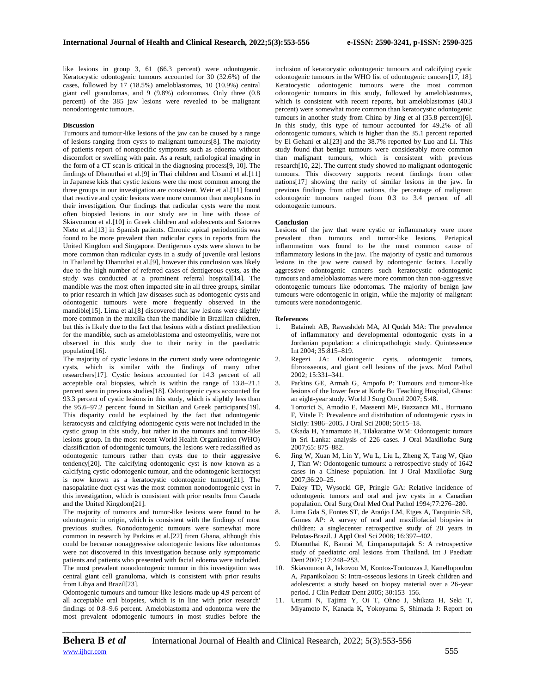like lesions in group 3, 61 (66.3 percent) were odontogenic. Keratocystic odontogenic tumours accounted for 30 (32.6%) of the cases, followed by 17 (18.5%) ameloblastomas, 10 (10.9%) central giant cell granulomas, and 9 (9.8%) odontomas. Only three (0.8 percent) of the 385 jaw lesions were revealed to be malignant nonodontogenic tumours.

## **Discussion**

Tumours and tumour-like lesions of the jaw can be caused by a range of lesions ranging from cysts to malignant tumours[8]. The majority of patients report of nonspecific symptoms such as edoema without discomfort or swelling with pain. As a result, radiological imaging in the form of a CT scan is critical in the diagnosing process[9, 10]. The findings of Dhanuthai et al.[9] in Thai children and Utsumi et al.[11] in Japanese kids that cystic lesions were the most common among the three groups in our investigation are consistent. Weir et al.[11] found that reactive and cystic lesions were more common than neoplasms in their investigation. Our findings that radicular cysts were the most often biopsied lesions in our study are in line with those of Skiavounou et al.<sup>[10]</sup> in Greek children and adolescents and Satorres Nieto et al.[13] in Spanish patients. Chronic apical periodontitis was found to be more prevalent than radicular cysts in reports from the United Kingdom and Singapore. Dentigerous cysts were shown to be more common than radicular cysts in a study of juvenile oral lesions in Thailand by Dhanuthai et al.[9], however this conclusion was likely due to the high number of referred cases of dentigerous cysts, as the study was conducted at a prominent referral hospital[14]. The mandible was the most often impacted site in all three groups, similar to prior research in which jaw diseases such as odontogenic cysts and odontogenic tumours were more frequently observed in the mandible[15]. Lima et al.[8] discovered that jaw lesions were slightly more common in the maxilla than the mandible in Brazilian children, but this is likely due to the fact that lesions with a distinct predilection for the mandible, such as ameloblastoma and osteomyelitis, were not observed in this study due to their rarity in the paediatric population[16].

The majority of cystic lesions in the current study were odontogenic cysts, which is similar with the findings of many other researchers[17]. Cystic lesions accounted for 14.3 percent of all acceptable oral biopsies, which is within the range of 13.8–21.1 percent seen in previous studies[18]. Odontogenic cysts accounted for 93.3 percent of cystic lesions in this study, which is slightly less than the 95.6–97.2 percent found in Sicilian and Greek participants[19]. This disparity could be explained by the fact that odontogenic keratocysts and calcifying odontogenic cysts were not included in the cystic group in this study, but rather in the tumours and tumor-like lesions group. In the most recent World Health Organization (WHO) classification of odontogenic tumours, the lesions were reclassified as odontogenic tumours rather than cysts due to their aggressive tendency[20]. The calcifying odontogenic cyst is now known as a calcifying cystic odontogenic tumour, and the odontogenic keratocyst is now known as a keratocystic odontogenic tumour[21]. The nasopalatine duct cyst was the most common nonodontogenic cyst in this investigation, which is consistent with prior results from Canada and the United Kingdom[21].

The majority of tumours and tumor-like lesions were found to be odontogenic in origin, which is consistent with the findings of most previous studies. Nonodontogenic tumours were somewhat more common in research by Parkins et al.[22] from Ghana, although this could be because nonaggressive odontogenic lesions like odontomas were not discovered in this investigation because only symptomatic patients and patients who presented with facial edoema were included. The most prevalent nonodontogenic tumour in this investigation was central giant cell granuloma, which is consistent with prior results from Libya and Brazil[23].

Odontogenic tumours and tumour-like lesions made up 4.9 percent of all acceptable oral biopsies, which is in line with prior research' findings of 0.8–9.6 percent. Ameloblastoma and odontoma were the most prevalent odontogenic tumours in most studies before the

inclusion of keratocystic odontogenic tumours and calcifying cystic odontogenic tumours in the WHO list of odontogenic cancers[17, 18]. Keratocystic odontogenic tumours were the most common odontogenic tumours in this study, followed by ameloblastomas, which is consistent with recent reports, but ameloblastomas (40.3 percent) were somewhat more common than keratocystic odontogenic tumours in another study from China by Jing et al (35.8 percent)[6]. In this study, this type of tumour accounted for 49.2% of all odontogenic tumours, which is higher than the 35.1 percent reported by El Gehani et al.[23] and the 38.7% reported by Luo and Li. This study found that benign tumours were considerably more common than malignant tumours, which is consistent with previous research[10, 22]. The current study showed no malignant odontogenic tumours. This discovery supports recent findings from other nations[17] showing the rarity of similar lesions in the jaw. In previous findings from other nations, the percentage of malignant odontogenic tumours ranged from 0.3 to 3.4 percent of all odontogenic tumours.

## **Conclusion**

\_\_\_\_\_\_\_\_\_\_\_\_\_\_\_\_\_\_\_\_\_\_\_\_\_\_\_\_\_\_\_\_\_\_\_\_\_\_\_\_\_\_\_\_\_\_\_\_\_\_\_\_\_\_\_\_\_\_\_\_\_\_\_\_\_\_\_\_\_\_\_\_\_\_\_\_\_\_\_\_\_\_\_\_\_\_\_\_\_\_\_\_\_\_\_\_\_\_\_\_\_\_\_\_\_\_\_\_\_\_\_\_\_\_\_\_\_\_\_\_\_\_\_\_\_\_\_\_\_\_\_\_\_\_\_\_\_\_\_\_

Lesions of the jaw that were cystic or inflammatory were more prevalent than tumours and tumor-like lesions. Periapical inflammation was found to be the most common cause of inflammatory lesions in the jaw. The majority of cystic and tumorous lesions in the jaw were caused by odontogenic factors. Locally aggressive odontogenic cancers such keratocystic odontogenic tumours and ameloblastomas were more common than non-aggressive odontogenic tumours like odontomas. The majority of benign jaw tumours were odontogenic in origin, while the majority of malignant tumours were nonodontogenic.

### **References**

- 1. Bataineh AB, Rawashdeh MA, Al Qudah MA: The prevalence of inflammatory and developmental odontogenic cysts in a Jordanian population: a clinicopathologic study. Quintessence Int 2004; 35:815–819.
- 2. Regezi JA: Odontogenic cysts, odontogenic tumors, fibroosseous, and giant cell lesions of the jaws. Mod Pathol 2002; 15:331–341.
- 3. Parkins GE, Armah G, Ampofo P: Tumours and tumour-like lesions of the lower face at Korle Bu Teaching Hospital, Ghana: an eight-year study. World J Surg Oncol 2007; 5:48.
- 4. Tortorici S, Amodio E, Massenti MF, Buzzanca ML, Burruano F, Vitale F: Prevalence and distribution of odontogenic cysts in Sicily: 1986–2005. J Oral Sci 2008; 50:15–18.
- 5. Okada H, Yamamoto H, Tilakaratne WM: Odontogenic tumors in Sri Lanka: analysis of 226 cases. J Oral Maxillofac Surg 2007;65: 875–882.
- 6. Jing W, Xuan M, Lin Y, Wu L, Liu L, Zheng X, Tang W, Qiao J, Tian W: Odontogenic tumours: a retrospective study of 1642 cases in a Chinese population. Int J Oral Maxillofac Surg 2007;36:20–25.
- 7. Daley TD, Wysocki GP, Pringle GA: Relative incidence of odontogenic tumors and oral and jaw cysts in a Canadian population. Oral Surg Oral Med Oral Pathol 1994;77:276–280.
- 8. Lima Gda S, Fontes ST, de Araújo LM, Etges A, Tarquinio SB, Gomes AP: A survey of oral and maxillofacial biopsies in children: a singlecenter retrospective study of 20 years in Pelotas-Brazil. J Appl Oral Sci 2008; 16:397–402.
- 9. Dhanuthai K, Banrai M, Limpanaputtajak S: A retrospective study of paediatric oral lesions from Thailand. Int J Paediatr Dent 2007; 17:248–253.
- 10. Skiavounou A, Iakovou M, Kontos-Toutouzas J, Kanellopoulou A, Papanikolaou S: Intra-osseous lesions in Greek children and adolescents: a study based on biopsy material over a 26-year period. J Clin Pediatr Dent 2005; 30:153–156.
- 11. Utsumi N, Tajima Y, Oi T, Ohno J, Shikata H, Seki T, Miyamoto N, Kanada K, Yokoyama S, Shimada J: Report on